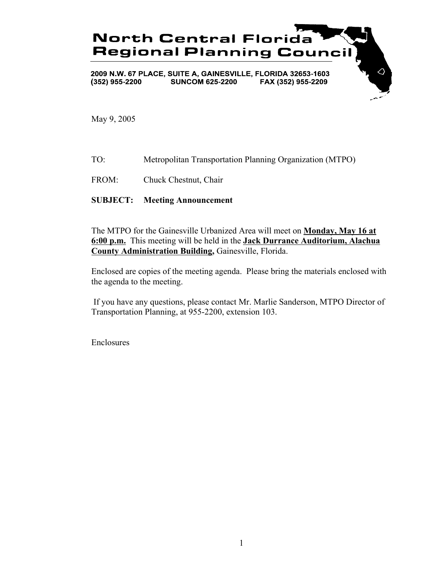

May 9, 2005

TO: Metropolitan Transportation Planning Organization (MTPO)

FROM: Chuck Chestnut, Chair

## **SUBJECT: Meeting Announcement**

The MTPO for the Gainesville Urbanized Area will meet on **Monday, May 16 at 6:00 p.m.** This meeting will be held in the **Jack Durrance Auditorium, Alachua County Administration Building,** Gainesville, Florida.

Enclosed are copies of the meeting agenda. Please bring the materials enclosed with the agenda to the meeting.

 If you have any questions, please contact Mr. Marlie Sanderson, MTPO Director of Transportation Planning, at 955-2200, extension 103.

Enclosures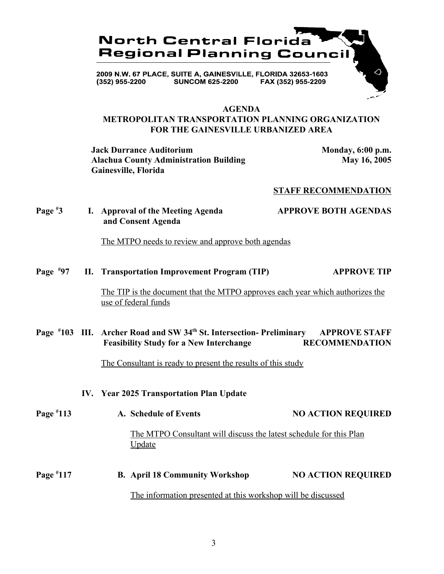

### **AGENDA**

## **METROPOLITAN TRANSPORTATION PLANNING ORGANIZATION FOR THE GAINESVILLE URBANIZED AREA**

**Jack Durrance Auditorium Monday, 6:00 p.m.** Alachua County Administration Building May 16, 2005 **Gainesville, Florida**

## **STAFF RECOMMENDATION**

**Page # 3 I. Approval of the Meeting Agenda APPROVE BOTH AGENDAS and Consent Agenda**

The MTPO needs to review and approve both agendas

**Page # 97 II. Transportation Improvement Program (TIP) APPROVE TIP**

> The TIP is the document that the MTPO approves each year which authorizes the use of federal funds

## Page #103 III. Archer Road and SW 34<sup>th</sup> St. Intersection- Preliminary APPROVE STAFF  **Feasibility Study for a New Interchange RECOMMENDATION**

The Consultant is ready to present the results of this study

- **IV. Year 2025 Transportation Plan Update**
- **Page # 124 A. Schedule of Events NO ACTION REQUIRED**  The MTPO Consultant will discuss the latest schedule for this Plan Update **Page # 12. B. April 18 Community Workshop NO ACTION REQUIRED** The information presented at this workshop will be discussed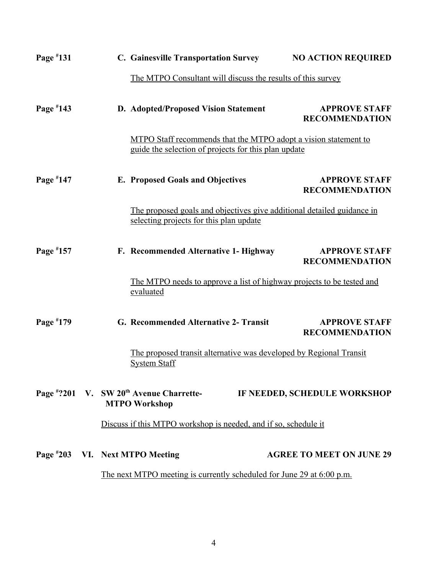| Page #131                                                             |  |  | <b>C. Gainesville Transportation Survey</b>                                                                             | <b>NO ACTION REQUIRED</b>                     |
|-----------------------------------------------------------------------|--|--|-------------------------------------------------------------------------------------------------------------------------|-----------------------------------------------|
|                                                                       |  |  | The MTPO Consultant will discuss the results of this survey                                                             |                                               |
| Page $*143$                                                           |  |  | D. Adopted/Proposed Vision Statement                                                                                    | <b>APPROVE STAFF</b><br><b>RECOMMENDATION</b> |
|                                                                       |  |  | MTPO Staff recommends that the MTPO adopt a vision statement to<br>guide the selection of projects for this plan update |                                               |
| Page #147                                                             |  |  | <b>E. Proposed Goals and Objectives</b>                                                                                 | <b>APPROVE STAFF</b><br><b>RECOMMENDATION</b> |
|                                                                       |  |  | The proposed goals and objectives give additional detailed guidance in<br>selecting projects for this plan update       |                                               |
| Page #157                                                             |  |  | F. Recommended Alternative 1- Highway                                                                                   | <b>APPROVE STAFF</b><br><b>RECOMMENDATION</b> |
|                                                                       |  |  | The MTPO needs to approve a list of highway projects to be tested and<br>evaluated                                      |                                               |
| Page #179                                                             |  |  | G. Recommended Alternative 2- Transit                                                                                   | <b>APPROVE STAFF</b><br><b>RECOMMENDATION</b> |
|                                                                       |  |  | The proposed transit alternative was developed by Regional Transit<br><b>System Staff</b>                               |                                               |
|                                                                       |  |  | Page #?201 V. SW 20 <sup>th</sup> Avenue Charrette-<br><b>MTPO Workshop</b>                                             | IF NEEDED, SCHEDULE WORKSHOP                  |
|                                                                       |  |  | Discuss if this MTPO workshop is needed, and if so, schedule it                                                         |                                               |
|                                                                       |  |  | Page #203 VI. Next MTPO Meeting                                                                                         | <b>AGREE TO MEET ON JUNE 29</b>               |
| The next MTPO meeting is currently scheduled for June 29 at 6:00 p.m. |  |  |                                                                                                                         |                                               |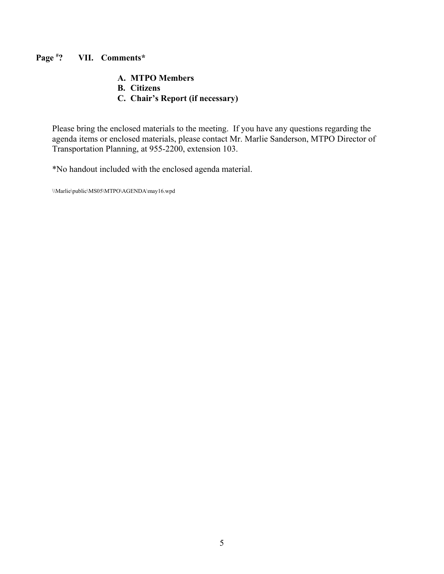#### **Page # ? VII. Comments\***

## **A. MTPO Members**

- **B. Citizens**
- **C. Chair's Report (if necessary)**

Please bring the enclosed materials to the meeting. If you have any questions regarding the agenda items or enclosed materials, please contact Mr. Marlie Sanderson, MTPO Director of Transportation Planning, at 955-2200, extension 103.

\*No handout included with the enclosed agenda material.

\\Marlie\public\MS05\MTPO\AGENDA\may16.wpd